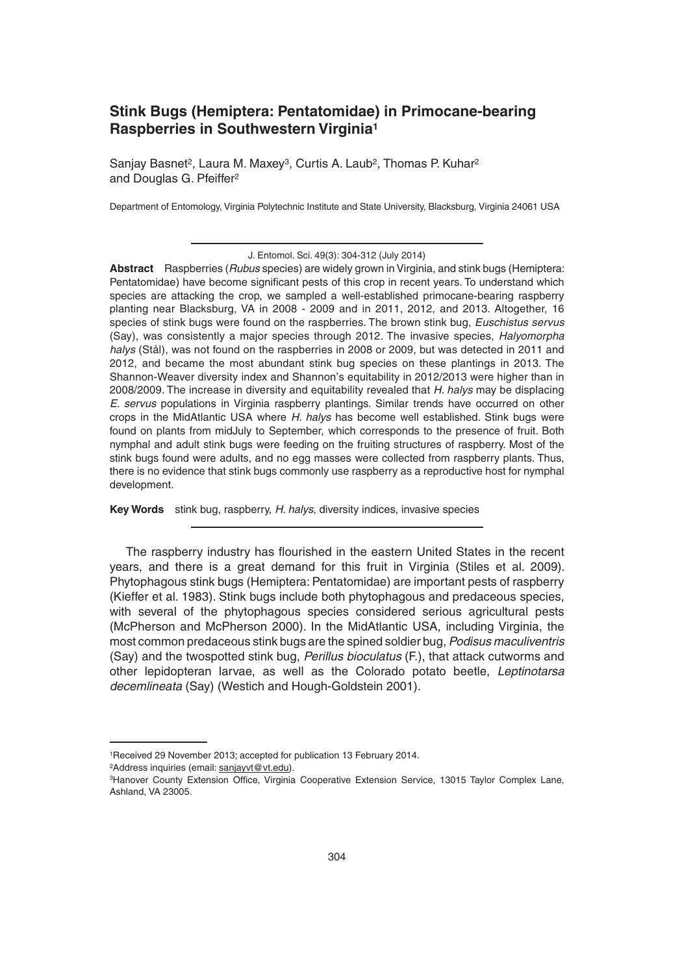# **Stink Bugs (Hemiptera: Pentatomidae) in Primocane-bearing Raspberries in Southwestern Virginia1**

Sanjay Basnet<sup>2</sup>, Laura M. Maxey<sup>3</sup>, Curtis A. Laub<sup>2</sup>, Thomas P. Kuhar<sup>2</sup> and Douglas G. Pfeiffer<sup>2</sup>

Department of Entomology, Virginia Polytechnic Institute and State University, Blacksburg, Virginia 24061 USA

**Abstract** Raspberries (*Rubus* species) are widely grown in Virginia, and stink bugs (Hemiptera: Pentatomidae) have become significant pests of this crop in recent years. To understand which species are attacking the crop, we sampled a well-established primocane-bearing raspberry planting near Blacksburg, VA in 2008 - 2009 and in 2011, 2012, and 2013. Altogether, 16 species of stink bugs were found on the raspberries. The brown stink bug, *Euschistus servus* (Say), was consistently a major species through 2012. The invasive species, *Halyomorpha halys* (Stål), was not found on the raspberries in 2008 or 2009, but was detected in 2011 and 2012, and became the most abundant stink bug species on these plantings in 2013. The Shannon-Weaver diversity index and Shannon's equitability in 2012/2013 were higher than in 2008/2009. The increase in diversity and equitability revealed that *H. halys* may be displacing *E. servus* populations in Virginia raspberry plantings. Similar trends have occurred on other crops in the MidAtlantic USA where *H. halys* has become well established. Stink bugs were found on plants from midJuly to September, which corresponds to the presence of fruit. Both nymphal and adult stink bugs were feeding on the fruiting structures of raspberry. Most of the stink bugs found were adults, and no egg masses were collected from raspberry plants. Thus, there is no evidence that stink bugs commonly use raspberry as a reproductive host for nymphal development.

**Key Words** stink bug, raspberry, *H. halys*, diversity indices, invasive species

The raspberry industry has flourished in the eastern United States in the recent years, and there is a great demand for this fruit in Virginia (Stiles et al. 2009). Phytophagous stink bugs (Hemiptera: Pentatomidae) are important pests of raspberry (Kieffer et al. 1983). Stink bugs include both phytophagous and predaceous species, with several of the phytophagous species considered serious agricultural pests (McPherson and McPherson 2000). In the MidAtlantic USA, including Virginia, the most common predaceous stink bugs are the spined soldier bug, *Podisus maculiventris* (Say) and the twospotted stink bug, *Perillus bioculatus* (F.), that attack cutworms and other lepidopteran larvae, as well as the Colorado potato beetle, *Leptinotarsa decemlineata* (Say) (Westich and Hough-Goldstein 2001).

J. Entomol. Sci. 49(3): 304-312 (July 2014)

<sup>1</sup>Received 29 November 2013; accepted for publication 13 February 2014.

<sup>&</sup>lt;sup>2</sup>Address inquiries (email: sanjayvt@vt.edu).

<sup>&</sup>lt;sup>3</sup>Hanover County Extension Office, Virginia Cooperative Extension Service, 13015 Taylor Complex Lane, Ashland, VA 23005.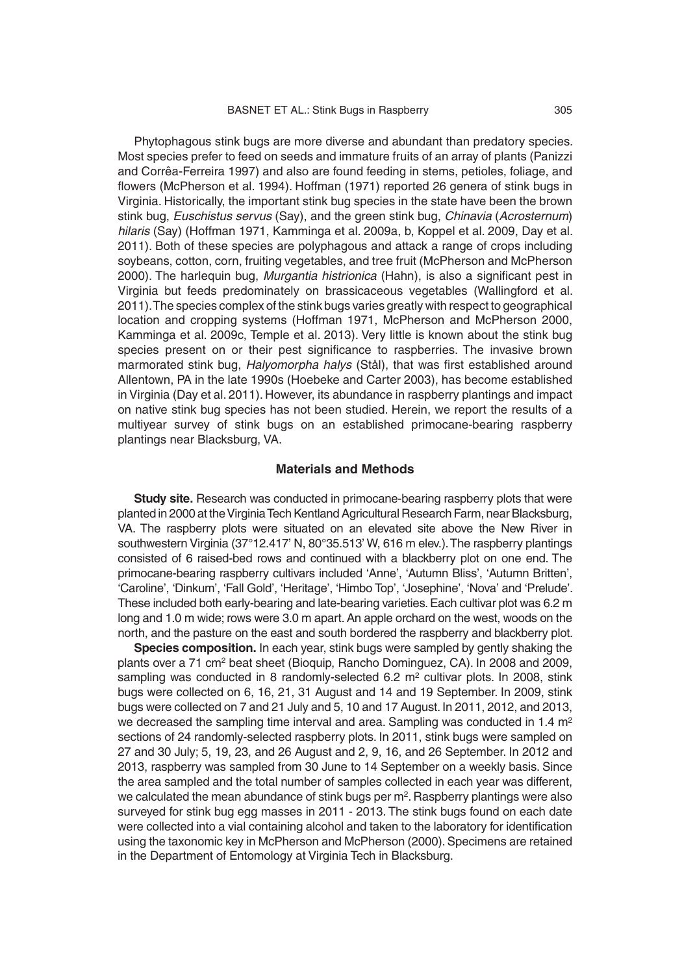Phytophagous stink bugs are more diverse and abundant than predatory species. Most species prefer to feed on seeds and immature fruits of an array of plants (Panizzi and Corrêa-Ferreira 1997) and also are found feeding in stems, petioles, foliage, and flowers (McPherson et al. 1994). Hoffman (1971) reported 26 genera of stink bugs in Virginia. Historically, the important stink bug species in the state have been the brown stink bug, *Euschistus servus* (Say), and the green stink bug, *Chinavia* (*Acrosternum*) *hilaris* (Say) (Hoffman 1971, Kamminga et al. 2009a, b, Koppel et al. 2009, Day et al. 2011). Both of these species are polyphagous and attack a range of crops including soybeans, cotton, corn, fruiting vegetables, and tree fruit (McPherson and McPherson 2000). The harlequin bug, *Murgantia histrionica* (Hahn), is also a significant pest in Virginia but feeds predominately on brassicaceous vegetables (Wallingford et al. 2011). The species complex of the stink bugs varies greatly with respect to geographical location and cropping systems (Hoffman 1971, McPherson and McPherson 2000, Kamminga et al. 2009c, Temple et al. 2013). Very little is known about the stink bug species present on or their pest significance to raspberries. The invasive brown marmorated stink bug, *Halyomorpha halys* (Stål), that was first established around Allentown, PA in the late 1990s (Hoebeke and Carter 2003), has become established in Virginia (Day et al. 2011). However, its abundance in raspberry plantings and impact on native stink bug species has not been studied. Herein, we report the results of a multiyear survey of stink bugs on an established primocane-bearing raspberry plantings near Blacksburg, VA.

#### **Materials and Methods**

**Study site.** Research was conducted in primocane-bearing raspberry plots that were planted in 2000 at the Virginia Tech Kentland Agricultural Research Farm, near Blacksburg, VA. The raspberry plots were situated on an elevated site above the New River in southwestern Virginia (37°12.417' N, 80°35.513' W, 616 m elev.). The raspberry plantings consisted of 6 raised-bed rows and continued with a blackberry plot on one end. The primocane-bearing raspberry cultivars included 'Anne', 'Autumn Bliss', 'Autumn Britten', 'Caroline', 'Dinkum', 'Fall Gold', 'Heritage', 'Himbo Top', 'Josephine', 'Nova' and 'Prelude'. These included both early-bearing and late-bearing varieties. Each cultivar plot was 6.2 m long and 1.0 m wide; rows were 3.0 m apart. An apple orchard on the west, woods on the north, and the pasture on the east and south bordered the raspberry and blackberry plot.

**Species composition.** In each year, stink bugs were sampled by gently shaking the plants over a 71 cm2 beat sheet (Bioquip, Rancho Dominguez, CA). In 2008 and 2009, sampling was conducted in 8 randomly-selected  $6.2 \text{ m}^2$  cultivar plots. In 2008, stink bugs were collected on 6, 16, 21, 31 August and 14 and 19 September. In 2009, stink bugs were collected on 7 and 21 July and 5, 10 and 17 August. In 2011, 2012, and 2013, we decreased the sampling time interval and area. Sampling was conducted in 1.4  $m<sup>2</sup>$ sections of 24 randomly-selected raspberry plots. In 2011, stink bugs were sampled on 27 and 30 July; 5, 19, 23, and 26 August and 2, 9, 16, and 26 September. In 2012 and 2013, raspberry was sampled from 30 June to 14 September on a weekly basis. Since the area sampled and the total number of samples collected in each year was different, we calculated the mean abundance of stink bugs per  $m<sup>2</sup>$ . Raspberry plantings were also surveyed for stink bug egg masses in 2011 - 2013. The stink bugs found on each date were collected into a vial containing alcohol and taken to the laboratory for identification using the taxonomic key in McPherson and McPherson (2000). Specimens are retained in the Department of Entomology at Virginia Tech in Blacksburg.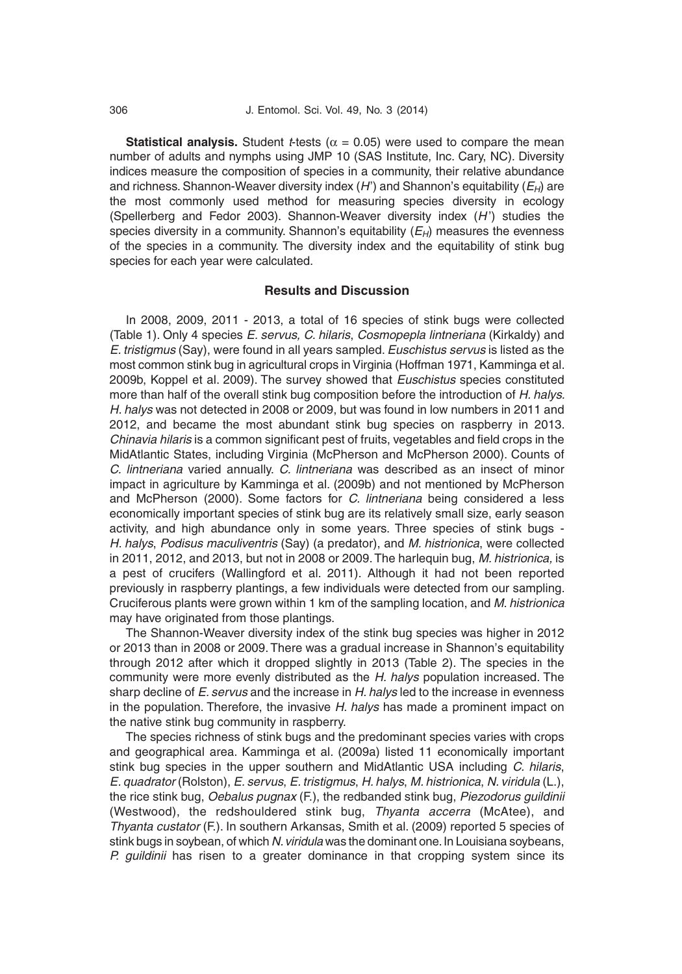**Statistical analysis.** Student *t*-tests ( $\alpha$  = 0.05) were used to compare the mean number of adults and nymphs using JMP 10 (SAS Institute, Inc. Cary, NC). Diversity indices measure the composition of species in a community, their relative abundance and richness. Shannon-Weaver diversity index (*H*') and Shannon's equitability (*EH*) are the most commonly used method for measuring species diversity in ecology (Spellerberg and Fedor 2003). Shannon-Weaver diversity index (*H* ') studies the species diversity in a community. Shannon's equitability  $(E_H)$  measures the evenness of the species in a community. The diversity index and the equitability of stink bug species for each year were calculated.

### **Results and Discussion**

In 2008, 2009, 2011 - 2013, a total of 16 species of stink bugs were collected (Table 1). Only 4 species *E. servus, C. hilaris*, *Cosmopepla lintneriana* (Kirkaldy) and *E. tristigmus* (Say), were found in all years sampled. *Euschistus servus* is listed as the most common stink bug in agricultural crops in Virginia (Hoffman 1971, Kamminga et al. 2009b, Koppel et al. 2009). The survey showed that *Euschistus* species constituted more than half of the overall stink bug composition before the introduction of *H. halys. H. halys* was not detected in 2008 or 2009, but was found in low numbers in 2011 and 2012, and became the most abundant stink bug species on raspberry in 2013. *Chinavia hilaris* is a common significant pest of fruits, vegetables and field crops in the MidAtlantic States, including Virginia (McPherson and McPherson 2000). Counts of *C. lintneriana* varied annually. *C. lintneriana* was described as an insect of minor impact in agriculture by Kamminga et al. (2009b) and not mentioned by McPherson and McPherson (2000). Some factors for *C. lintneriana* being considered a less economically important species of stink bug are its relatively small size, early season activity, and high abundance only in some years. Three species of stink bugs - *H. halys*, *Podisus maculiventris* (Say) (a predator), and *M. histrionica*, were collected in 2011, 2012, and 2013, but not in 2008 or 2009. The harlequin bug, *M. histrionica,* is a pest of crucifers (Wallingford et al. 2011). Although it had not been reported previously in raspberry plantings, a few individuals were detected from our sampling. Cruciferous plants were grown within 1 km of the sampling location, and *M*. *histrionica* may have originated from those plantings.

The Shannon-Weaver diversity index of the stink bug species was higher in 2012 or 2013 than in 2008 or 2009. There was a gradual increase in Shannon's equitability through 2012 after which it dropped slightly in 2013 (Table 2). The species in the community were more evenly distributed as the *H. halys* population increased. The sharp decline of *E. servus* and the increase in *H. halys* led to the increase in evenness in the population. Therefore, the invasive *H. halys* has made a prominent impact on the native stink bug community in raspberry.

The species richness of stink bugs and the predominant species varies with crops and geographical area. Kamminga et al. (2009a) listed 11 economically important stink bug species in the upper southern and MidAtlantic USA including *C. hilaris*, *E. quadrator* (Rolston), *E. servus*, *E. tristigmus*, *H. halys*, *M. histrionica*, *N. viridula* (L.), the rice stink bug, *Oebalus pugnax* (F.), the redbanded stink bug, *Piezodorus guildinii* (Westwood), the redshouldered stink bug, *Thyanta accerra* (McAtee), and *Thyanta custator* (F.). In southern Arkansas, Smith et al. (2009) reported 5 species of stink bugs in soybean, of which *N. viridula* was the dominant one. In Louisiana soybeans, *P. guildinii* has risen to a greater dominance in that cropping system since its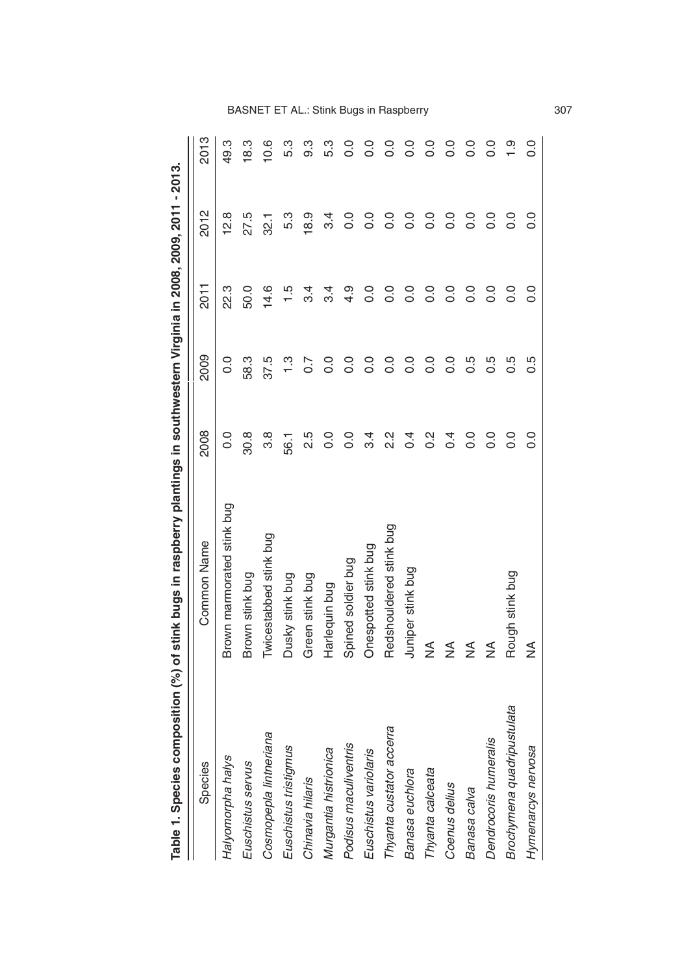|                            | <br> <br> <br>b            |                  | .<br>ג            |                |                   |                  |
|----------------------------|----------------------------|------------------|-------------------|----------------|-------------------|------------------|
| Species                    | <b>Common Name</b>         | 2008             | 2009              | <b>2011</b>    | 2012              | 2013             |
| Halyomorpha halys          | Brown marmorated stink bug | 0.0              | 0.0               | 22.3           | 12.8              | 49.3             |
| Euschistus servus          | Brown stink bug            | 30.8             | 58.3              | 50.0           | 27.5              | 18.3             |
| Cosmopepla lintneriana     | Twicestabbed stink bug     | 3.8              | 37.5              | 14.6           | $\overline{32}$ . | 10.6             |
| Euschistus tristigmus      | Dusky stink bug            | 56.1             | $\frac{3}{1}$     | $\frac{15}{1}$ | 5.3               | თ<br>5.3         |
| Chinavia hilaris           | Green stink bug            | 2.5              | $\overline{0}$ .7 | .<br>ನ         | $\frac{8}{9}$     | <u>ვ</u>         |
| Murgantia histrionica      | Harlequin bug              | o.o              | $\overline{0}$    | უ.<br>პ        | 3.4               | 5.3              |
| Podisus maculiventris      | Spined soldier bug         | $\frac{0}{0}$    | 0.0               | 4.9            | $\overline{0}$    | $\frac{0}{0}$    |
| Euschistus variolaris      | Onespotted stink bug       | 3.4              | 0.0               | 0.0            | $\overline{0}$    | $\overline{0}$   |
| Thyanta custator accerra   | Redshouldered stink bug    | ي<br>2.2         | 0.0               | $\rm ^{0.0}$   | 0.0               | $\rm ^{0}$       |
| Banasa euchlora            | Juniper stink bug          | े<br>२           | 0.0               | $\overline{0}$ | $\rm ^{0}$        | $\rm ^{0}$       |
| Thyanta calceata           | ≸                          | $\frac{2}{5}$    | $\frac{0}{0}$     | $\frac{0}{0}$  | o.o               | o.o              |
| Coenus delius              | ≨                          | $\overline{0}$ . | $\rm ^{0}$        | $\overline{0}$ | $\rm ^{0}$        | o.o              |
| Banasa calva               | ₹                          | o.<br>O          | 0.5               | $\frac{0}{0}$  | $\frac{0}{0}$     | $\rm ^{0}$       |
| Dendrocoris humeralis      | ₹                          | $\frac{0}{0}$    | 0.5               | $\frac{0}{0}$  | o.o               | 0.0              |
| Brochymena quadripustulata | Rough stink bug            | $\frac{0}{0}$    | 0.5               | $\frac{0}{0}$  | $\rm ^{0}$        | ္                |
| Hymenarcys nervosa         | ≨                          | $\frac{0}{0}$    | 0.5               | $\rm ^{0.0}$   | $\frac{0}{0}$     | $\overline{0}$ . |

Table 1. Species composition (%) of stink bugs in raspberry plantings in southwestern Virginia in 2008, 2009, 2011 - 2013. **Table 1. Species composition (%) of stink bugs in raspberry plantings in southwestern Virginia in 2008, 2009, 2011 - 2013.** BASNET ET AL.: Stink Bugs in Raspberry 307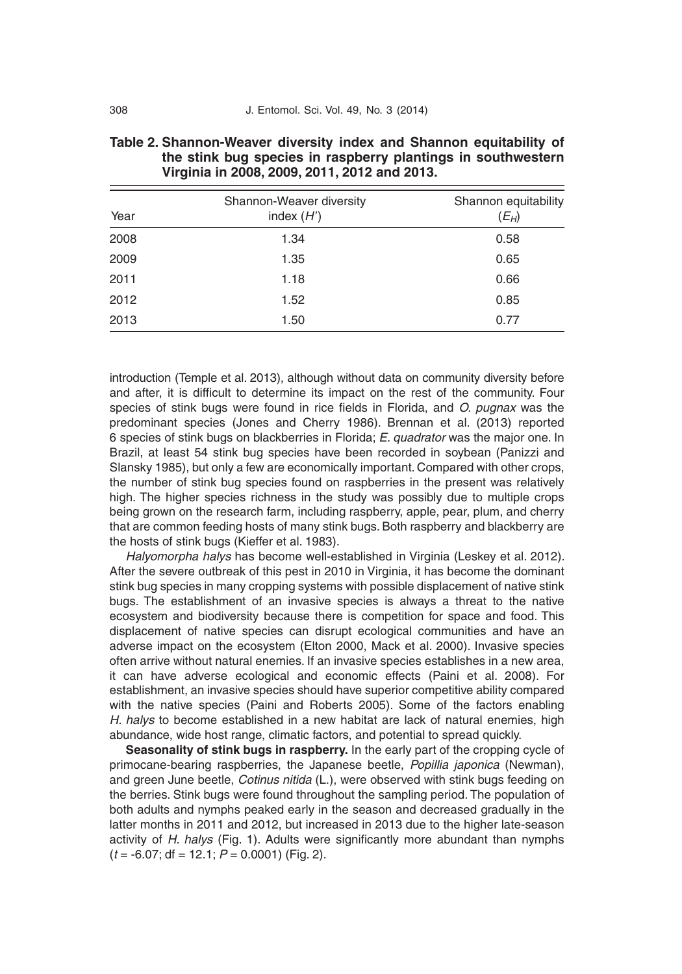| Year | Shannon-Weaver diversity<br>index $(H')$ | Shannon equitability<br>$(E_H)$ |
|------|------------------------------------------|---------------------------------|
| 2008 | 1.34                                     | 0.58                            |
| 2009 | 1.35                                     | 0.65                            |
| 2011 | 1.18                                     | 0.66                            |
| 2012 | 1.52                                     | 0.85                            |
| 2013 | 1.50                                     | 0.77                            |

| Table 2. Shannon-Weaver diversity index and Shannon equitability of |                                                              |  |  |
|---------------------------------------------------------------------|--------------------------------------------------------------|--|--|
|                                                                     | the stink bug species in raspberry plantings in southwestern |  |  |
|                                                                     | Virginia in 2008, 2009, 2011, 2012 and 2013.                 |  |  |

introduction (Temple et al. 2013), although without data on community diversity before and after, it is difficult to determine its impact on the rest of the community. Four species of stink bugs were found in rice fields in Florida, and *O. pugnax* was the predominant species (Jones and Cherry 1986). Brennan et al. (2013) reported 6 species of stink bugs on blackberries in Florida; *E. quadrator* was the major one. In Brazil, at least 54 stink bug species have been recorded in soybean (Panizzi and Slansky 1985), but only a few are economically important. Compared with other crops, the number of stink bug species found on raspberries in the present was relatively high. The higher species richness in the study was possibly due to multiple crops being grown on the research farm, including raspberry, apple, pear, plum, and cherry that are common feeding hosts of many stink bugs. Both raspberry and blackberry are the hosts of stink bugs (Kieffer et al. 1983).

*Halyomorpha halys* has become well-established in Virginia (Leskey et al. 2012). After the severe outbreak of this pest in 2010 in Virginia, it has become the dominant stink bug species in many cropping systems with possible displacement of native stink bugs. The establishment of an invasive species is always a threat to the native ecosystem and biodiversity because there is competition for space and food. This displacement of native species can disrupt ecological communities and have an adverse impact on the ecosystem (Elton 2000, Mack et al. 2000). Invasive species often arrive without natural enemies. If an invasive species establishes in a new area, it can have adverse ecological and economic effects (Paini et al. 2008). For establishment, an invasive species should have superior competitive ability compared with the native species (Paini and Roberts 2005). Some of the factors enabling *H. halys* to become established in a new habitat are lack of natural enemies, high abundance, wide host range, climatic factors, and potential to spread quickly.

**Seasonality of stink bugs in raspberry.** In the early part of the cropping cycle of primocane-bearing raspberries, the Japanese beetle, *Popillia japonica* (Newman), and green June beetle, *Cotinus nitida* (L.), were observed with stink bugs feeding on the berries. Stink bugs were found throughout the sampling period. The population of both adults and nymphs peaked early in the season and decreased gradually in the latter months in 2011 and 2012, but increased in 2013 due to the higher late-season activity of *H. halys* (Fig. 1). Adults were significantly more abundant than nymphs (*t* = -6.07; df = 12.1; *P* = 0.0001) (Fig. 2).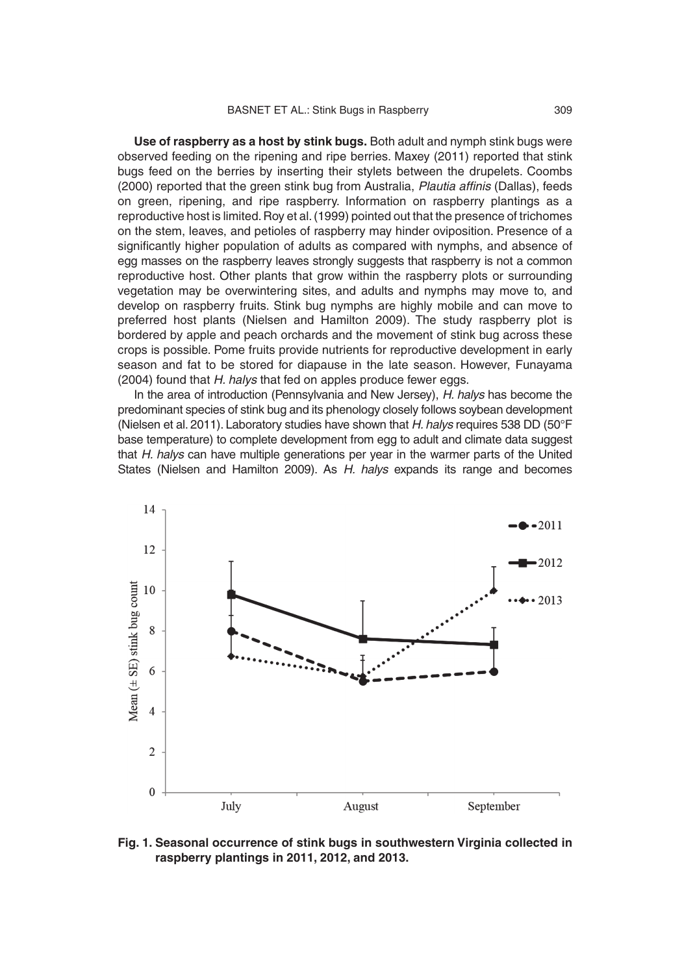**Use of raspberry as a host by stink bugs.** Both adult and nymph stink bugs were observed feeding on the ripening and ripe berries. Maxey (2011) reported that stink bugs feed on the berries by inserting their stylets between the drupelets. Coombs (2000) reported that the green stink bug from Australia, Plautia affinis (Dallas), feeds on green, ripening, and ripe raspberry. Information on raspberry plantings as a reproductive host is limited. Roy et al. (1999) pointed out that the presence of trichomes on the stem, leaves, and petioles of raspberry may hinder oviposition. Presence of a significantly higher population of adults as compared with nymphs, and absence of egg masses on the raspberry leaves strongly suggests that raspberry is not a common reproductive host. Other plants that grow within the raspberry plots or surrounding vegetation may be overwintering sites, and adults and nymphs may move to, and develop on raspberry fruits. Stink bug nymphs are highly mobile and can move to preferred host plants (Nielsen and Hamilton 2009). The study raspberry plot is bordered by apple and peach orchards and the movement of stink bug across these crops is possible. Pome fruits provide nutrients for reproductive development in early season and fat to be stored for diapause in the late season. However, Funayama (2004) found that *H. halys* that fed on apples produce fewer eggs.

In the area of introduction (Pennsylvania and New Jersey), *H. halys* has become the predominant species of stink bug and its phenology closely follows soybean development (Nielsen et al. 2011). Laboratory studies have shown that *H. halys* requires 538 DD (50°F base temperature) to complete development from egg to adult and climate data suggest that *H. halys* can have multiple generations per year in the warmer parts of the United States (Nielsen and Hamilton 2009). As *H. halys* expands its range and becomes



**Fig. 1. Seasonal occurrence of stink bugs in southwestern Virginia collected in raspberry plantings in 2011, 2012, and 2013.**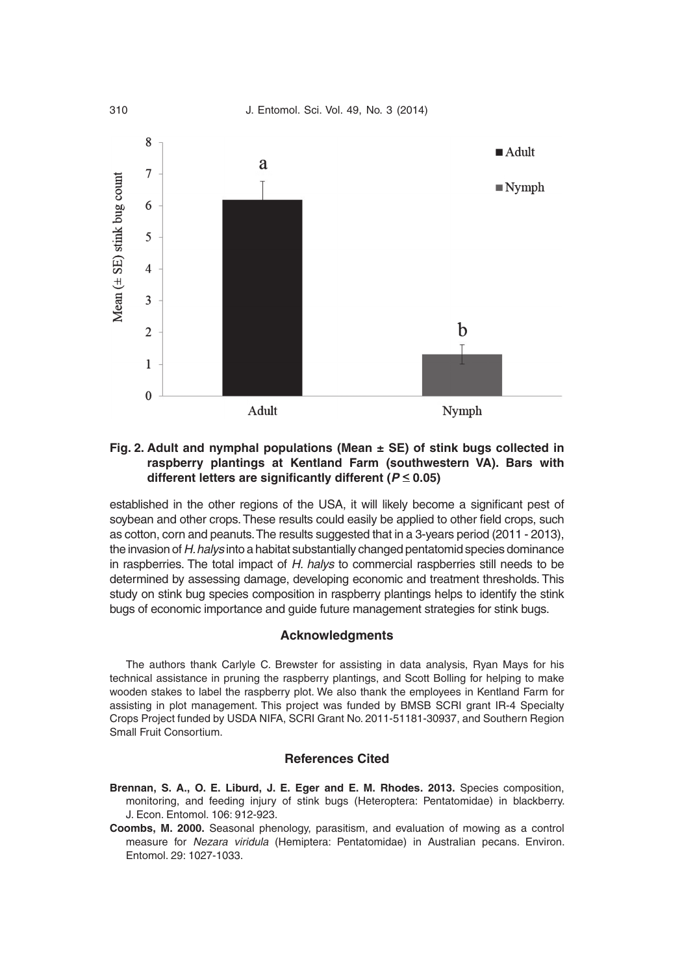

#### **Fig. 2. Adult and nymphal populations (Mean ± SE) of stink bugs collected in raspberry plantings at Kentland Farm (southwestern VA). Bars with**  different letters are significantly different ( $P \le 0.05$ )

established in the other regions of the USA, it will likely become a significant pest of soybean and other crops. These results could easily be applied to other field crops, such as cotton, corn and peanuts. The results suggested that in a 3-years period (2011 - 2013), the invasion of *H. halys* into a habitat substantially changed pentatomid species dominance in raspberries. The total impact of *H. halys* to commercial raspberries still needs to be determined by assessing damage, developing economic and treatment thresholds. This study on stink bug species composition in raspberry plantings helps to identify the stink bugs of economic importance and guide future management strategies for stink bugs.

#### **Acknowledgments**

The authors thank Carlyle C. Brewster for assisting in data analysis, Ryan Mays for his technical assistance in pruning the raspberry plantings, and Scott Bolling for helping to make wooden stakes to label the raspberry plot. We also thank the employees in Kentland Farm for assisting in plot management. This project was funded by BMSB SCRI grant IR-4 Specialty Crops Project funded by USDA NIFA, SCRI Grant No. 2011-51181-30937, and Southern Region Small Fruit Consortium.

## **References Cited**

**Brennan, S. A., O. E. Liburd, J. E. Eger and E. M. Rhodes. 2013.** Species composition, monitoring, and feeding injury of stink bugs (Heteroptera: Pentatomidae) in blackberry. J. Econ. Entomol. 106: 912-923.

**Coombs, M. 2000.** Seasonal phenology, parasitism, and evaluation of mowing as a control measure for *Nezara viridula* (Hemiptera: Pentatomidae) in Australian pecans. Environ. Entomol. 29: 1027-1033.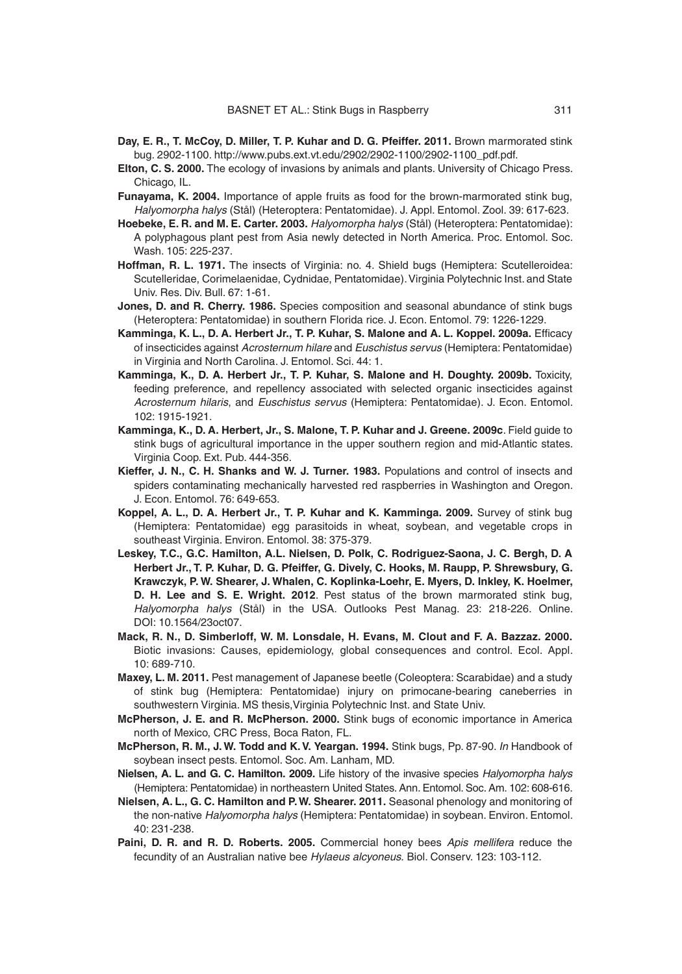- **Day, E. R., T. McCoy, D. Miller, T. P. Kuhar and D. G. Pfeiffer. 2011.** Brown marmorated stink bug. 2902-1100. http://www.pubs.ext.vt.edu/2902/2902-1100/2902-1100\_pdf.pdf.
- **Elton, C. S. 2000.** The ecology of invasions by animals and plants. University of Chicago Press. Chicago, IL.
- **Funayama, K. 2004.** Importance of apple fruits as food for the brown-marmorated stink bug, *Halyomorpha halys* (Stål) (Heteroptera: Pentatomidae). J. Appl. Entomol. Zool. 39: 617-623.
- **Hoebeke, E. R. and M. E. Carter. 2003.** *Halyomorpha halys* (Stål) (Heteroptera: Pentatomidae): A polyphagous plant pest from Asia newly detected in North America. Proc. Entomol. Soc. Wash. 105: 225-237.
- **Hoffman, R. L. 1971.** The insects of Virginia: no. 4. Shield bugs (Hemiptera: Scutelleroidea: Scutelleridae, Corimelaenidae, Cydnidae, Pentatomidae). Virginia Polytechnic Inst. and State Univ. Res. Div. Bull. 67: 1-61.
- **Jones, D. and R. Cherry. 1986.** Species composition and seasonal abundance of stink bugs (Heteroptera: Pentatomidae) in southern Florida rice. J. Econ. Entomol. 79: 1226-1229.
- **Kamminga, K. L., D. A. Herbert Jr., T. P. Kuhar, S. Malone and A. L. Koppel. 2009a. Efficacy** of insecticides against *Acrosternum hilare* and *Euschistus servus* (Hemiptera: Pentatomidae) in Virginia and North Carolina. J. Entomol. Sci. 44: 1.
- **Kamminga, K., D. A. Herbert Jr., T. P. Kuhar, S. Malone and H. Doughty. 2009b.** Toxicity, feeding preference, and repellency associated with selected organic insecticides against *Acrosternum hilaris*, and *Euschistus servus* (Hemiptera: Pentatomidae). J. Econ. Entomol. 102: 1915-1921.
- **Kamminga, K., D. A. Herbert, Jr., S. Malone, T. P. Kuhar and J. Greene. 2009c**. Field guide to stink bugs of agricultural importance in the upper southern region and mid-Atlantic states. Virginia Coop. Ext. Pub. 444-356.
- **Kieffer, J. N., C. H. Shanks and W. J. Turner. 1983.** Populations and control of insects and spiders contaminating mechanically harvested red raspberries in Washington and Oregon. J. Econ. Entomol. 76: 649-653.
- **Koppel, A. L., D. A. Herbert Jr., T. P. Kuhar and K. Kamminga. 2009.** Survey of stink bug (Hemiptera: Pentatomidae) egg parasitoids in wheat, soybean, and vegetable crops in southeast Virginia. Environ. Entomol. 38: 375-379.
- **Leskey, T.C., G.C. Hamilton, A.L. Nielsen, D. Polk, C. Rodriguez-Saona, J. C. Bergh, D. A Herbert Jr., T. P. Kuhar, D. G. Pfeiffer, G. Dively, C. Hooks, M. Raupp, P. Shrewsbury, G. Krawczyk, P. W. Shearer, J. Whalen, C. Koplinka-Loehr, E. Myers, D. Inkley, K. Hoelmer, D. H. Lee and S. E. Wright. 2012**. Pest status of the brown marmorated stink bug, *Halyomorpha halys* (Stål) in the USA. Outlooks Pest Manag. 23: 218-226. Online. DOI: 10.1564/23oct07.
- **Mack, R. N., D. Simberloff, W. M. Lonsdale, H. Evans, M. Clout and F. A. Bazzaz. 2000.** Biotic invasions: Causes, epidemiology, global consequences and control. Ecol. Appl. 10: 689-710.
- **Maxey, L. M. 2011.** Pest management of Japanese beetle (Coleoptera: Scarabidae) and a study of stink bug (Hemiptera: Pentatomidae) injury on primocane-bearing caneberries in southwestern Virginia. MS thesis,Virginia Polytechnic Inst. and State Univ.
- **McPherson, J. E. and R. McPherson. 2000.** Stink bugs of economic importance in America north of Mexico, CRC Press, Boca Raton, FL.
- **McPherson, R. M., J. W. Todd and K. V. Yeargan. 1994.** Stink bugs, Pp. 87-90. *In* Handbook of soybean insect pests. Entomol. Soc. Am. Lanham, MD.
- **Nielsen, A. L. and G. C. Hamilton. 2009.** Life history of the invasive species *Halyomorpha halys* (Hemiptera: Pentatomidae) in northeastern United States. Ann. Entomol. Soc. Am. 102: 608-616.
- **Nielsen, A. L., G. C. Hamilton and P. W. Shearer. 2011.** Seasonal phenology and monitoring of the non-native *Halyomorpha halys* (Hemiptera: Pentatomidae) in soybean. Environ. Entomol. 40: 231-238.
- **Paini, D. R. and R. D. Roberts. 2005.** Commercial honey bees *Apis mellifera* reduce the fecundity of an Australian native bee *Hylaeus alcyoneus.* Biol. Conserv. 123: 103-112.